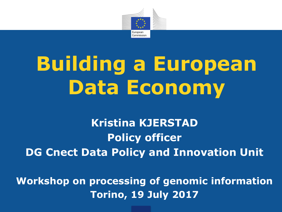

# **Building a European Data Economy**

**Kristina KJERSTAD Policy officer DG Cnect Data Policy and Innovation Unit**

**Workshop on processing of genomic information Torino, 19 July 2017**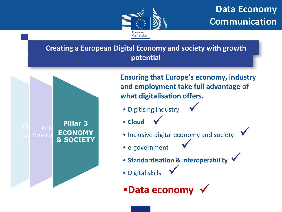

 $\bigvee$ 

**Creating a European Digital Economy and society with growth potential**



**Ensuring that Europe's economy, industry and employment take full advantage of what digitalisation offers.**

 $\bigvee$ 

- Digitising industry
- **Cloud**   $\bigvee$
- Inclusive digital economy and society  $\bigvee$
- e-government
- **Standardisation & interoperability**   $\bigvee$
- Digital skills  $\bigvee$
- •**Data economy**  $\checkmark$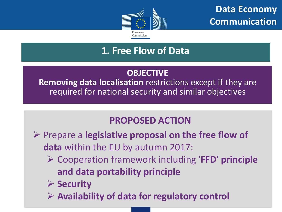

### **1. Free Flow of Data**

#### **OBJECTIVE**

**Removing data localisation** restrictions except if they are required for national security and similar objectives

### **PROPOSED ACTION**

- Prepare a **legislative proposal on the free flow of data** within the EU by autumn 2017:
	- Cooperation framework including '**FFD' principle and data portability principle**
	- **≻ Security**
	- **Availability of data for regulatory control**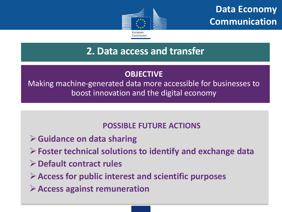

### **2. Data access and transfer**

#### **OBJECTIVE**

Making machine-generated data more accessible for businesses to boost innovation and the digital economy

#### **POSSIBLE FUTURE ACTIONS**

- **Guidance on data sharing**
- **Foster technical solutions to identify and exchange data**
- **Default contract rules**

**Access for public interest and scientific purposes**

**Access against remuneration**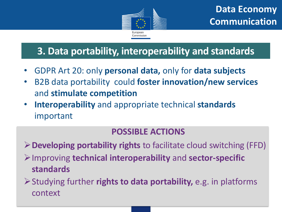

### **3. Data portability, interoperability and standards**

- GDPR Art 20: only **personal data,** only for **data subjects**
- B2B data portability could **foster innovation/new services**  and **stimulate competition**
- **Interoperability** and appropriate technical **standards** important

#### **POSSIBLE ACTIONS**

**Developing portability rights** to facilitate cloud switching (FFD)

Improving **technical interoperability** and **sector-specific standards**

Studying further **rights to data portability,** e.g. in platforms context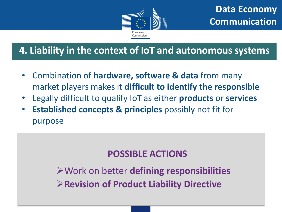

### **4. Liability in the context of IoT and autonomous systems**

- Combination of **hardware, software & data** from many market players makes it **difficult to identify the responsible**
- Legally difficult to qualify IoT as either **products** or **services**
- **Established concepts & principles** possibly not fit for purpose

### **POSSIBLE ACTIONS**

Work on better **defining responsibilities Revision of Product Liability Directive**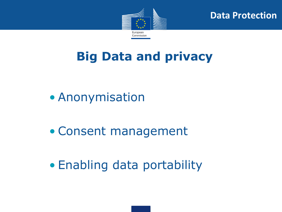

**Data Protection**

### **Big Data and privacy**

- Anonymisation
- Consent management
- Enabling data portability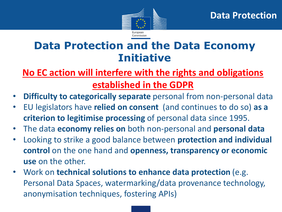

### **Data Protection and the Data Economy Initiative**

### **No EC action will interfere with the rights and obligations established in the GDPR**

- **Difficulty to categorically separate** personal from non-personal data
- EU legislators have **relied on consent** (and continues to do so) **as a criterion to legitimise processing** of personal data since 1995.
- The data **economy relies on** both non-personal and **personal data**
- Looking to strike a good balance between **protection and individual control** on the one hand and **openness, transparency or economic use** on the other.
- Work on **technical solutions to enhance data protection** (e.g. Personal Data Spaces, watermarking/data provenance technology, anonymisation techniques, fostering APIs)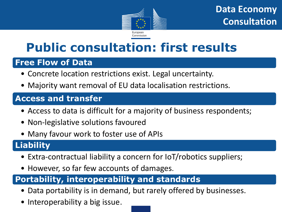

**Data Economy Consultation**

### **Public consultation: first results**

#### **Free Flow of Data**

- Concrete location restrictions exist. Legal uncertainty.
- Majority want removal of EU data localisation restrictions.

#### **Access and transfer**

- Access to data is difficult for a majority of business respondents;
- Non-legislative solutions favoured
- Many favour work to foster use of APIs

#### **Liability**

- Extra-contractual liability a concern for IoT/robotics suppliers;
- However, so far few accounts of damages.

#### **Portability, interoperability and standards**

- Data portability is in demand, but rarely offered by businesses.
- Interoperability a big issue.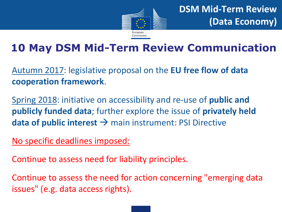

### **10 May DSM Mid-Term Review Communication**

Autumn 2017: legislative proposal on the **EU free flow of data cooperation framework**.

Spring 2018: initiative on accessibility and re-use of **public and publicly funded data**; further explore the issue of **privately held data of public interest**  $\rightarrow$  main instrument: PSI Directive

No specific deadlines imposed:

Continue to assess need for liability principles.

Continue to assess the need for action concerning "emerging data issues" (e.g. data access rights).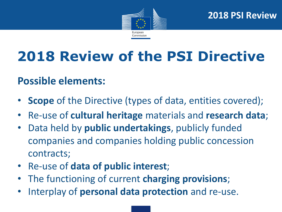

## **2018 Review of the PSI Directive**

### **Possible elements:**

- **Scope** of the Directive (types of data, entities covered);
- Re-use of **cultural heritage** materials and **research data**;
- Data held by **public undertakings**, publicly funded companies and companies holding public concession contracts;
- Re-use of **data of public interest**;
- The functioning of current **charging provisions**;
- Interplay of **personal data protection** and re-use.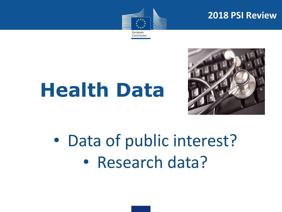

#### **2018 PSI Review**

Commission

# **Health Data**



• Data of public interest? • Research data?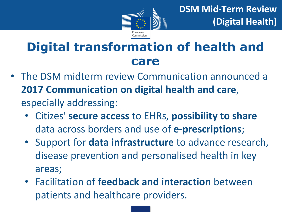

**DSM Mid-Term Review (Digital Health)**

### **Digital transformation of health and care**

- The DSM midterm review Communication announced a **2017 Communication on digital health and care**, especially addressing:
	- Citizes' **secure access** to EHRs, **possibility to share**  data across borders and use of **e-prescriptions**;
	- Support for **data infrastructure** to advance research, disease prevention and personalised health in key areas;
	- Facilitation of **feedback and interaction** between patients and healthcare providers.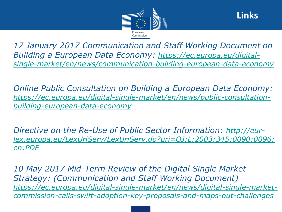



• *17 January 2017 Communication and Staff Working Document on Building a European Data Economy: https://ec.europa.eu/digital[single-market/en/news/communication-building-european-data-economy](https://ec.europa.eu/digital-single-market/en/news/communication-building-european-data-economy)*

• *Online Public Consultation on Building a European Data Economy: [https://ec.europa.eu/digital-single-market/en/news/public-consultation](https://ec.europa.eu/digital-single-market/en/news/public-consultation-building-european-data-economy)building-european-data-economy*

• *Directive on the Re-Use of Public Sector Information: http://eur[lex.europa.eu/LexUriServ/LexUriServ.do?uri=OJ:L:2003:345:0090:0096:](http://eur-lex.europa.eu/LexUriServ/LexUriServ.do?uri=OJ:L:2003:345:0090:0096:en:PDF) en:PDF*

• *10 May 2017 Mid-Term Review of the Digital Single Market Strategy: (Communication and Staff Working Document) https://ec.europa.eu/digital-single-market/en/news/digital-single-market[commission-calls-swift-adoption-key-proposals-and-maps-out-challenges](https://ec.europa.eu/digital-single-market/en/news/digital-single-market-commission-calls-swift-adoption-key-proposals-and-maps-out-challenges)*